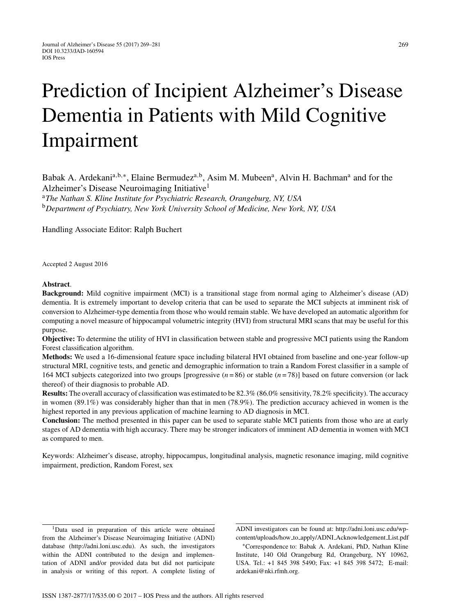# Prediction of Incipient Alzheimer's Disease Dementia in Patients with Mild Cognitive Impairment

Babak A. Ardekani<sup>a,b,∗</sup>, Elaine Bermudez<sup>a,b</sup>, Asim M. Mubeen<sup>a</sup>, Alvin H. Bachman<sup>a</sup> and for the Alzheimer's Disease Neuroimaging Initiative1

<sup>a</sup>*The Nathan S. Kline Institute for Psychiatric Research, Orangeburg, NY, USA* <sup>b</sup>*Department of Psychiatry, New York University School of Medicine, New York, NY, USA*

Handling Associate Editor: Ralph Buchert

Accepted 2 August 2016

#### **Abstract**.

**Background:** Mild cognitive impairment (MCI) is a transitional stage from normal aging to Alzheimer's disease (AD) dementia. It is extremely important to develop criteria that can be used to separate the MCI subjects at imminent risk of conversion to Alzheimer-type dementia from those who would remain stable. We have developed an automatic algorithm for computing a novel measure of hippocampal volumetric integrity (HVI) from structural MRI scans that may be useful for this purpose.

**Objective:** To determine the utility of HVI in classification between stable and progressive MCI patients using the Random Forest classification algorithm.

**Methods:** We used a 16-dimensional feature space including bilateral HVI obtained from baseline and one-year follow-up structural MRI, cognitive tests, and genetic and demographic information to train a Random Forest classifier in a sample of 164 MCI subjects categorized into two groups [progressive (*n* = 86) or stable (*n* = 78)] based on future conversion (or lack thereof) of their diagnosis to probable AD.

**Results:** The overall accuracy of classification was estimated to be 82.3% (86.0% sensitivity, 78.2% specificity). The accuracy in women (89.1%) was considerably higher than that in men (78.9%). The prediction accuracy achieved in women is the highest reported in any previous application of machine learning to AD diagnosis in MCI.

**Conclusion:** The method presented in this paper can be used to separate stable MCI patients from those who are at early stages of AD dementia with high accuracy. There may be stronger indicators of imminent AD dementia in women with MCI as compared to men.

Keywords: Alzheimer's disease, atrophy, hippocampus, longitudinal analysis, magnetic resonance imaging, mild cognitive impairment, prediction, Random Forest, sex

<sup>1</sup>Data used in preparation of this article were obtained from the Alzheimer's Disease Neuroimaging Initiative (ADNI) database [\(http://adni.loni.usc.edu](http://adni.loni.usc.edu)). As such, the investigators within the ADNI contributed to the design and implementation of ADNI and/or provided data but did not participate in analysis or writing of this report. A complete listing of ADNI investigators can be found at: [http://adni.loni.usc.edu/wp](http://adni.loni.usc.edu/wp-content/uploads/how_to_apply/ADNI_Acknowledgement_List.pdf)content/uploads/how to apply/ADNI Acknowledgement List.pdf

<sup>∗</sup>Correspondence to: Babak A. Ardekani, PhD, Nathan Kline Institute, 140 Old Orangeburg Rd, Orangeburg, NY 10962, USA. Tel.: +1 845 398 5490; Fax: +1 845 398 5472; E-mail: [ardekani@nki.rfmh.org.](mailto:ardekani@nki.rfmh.org)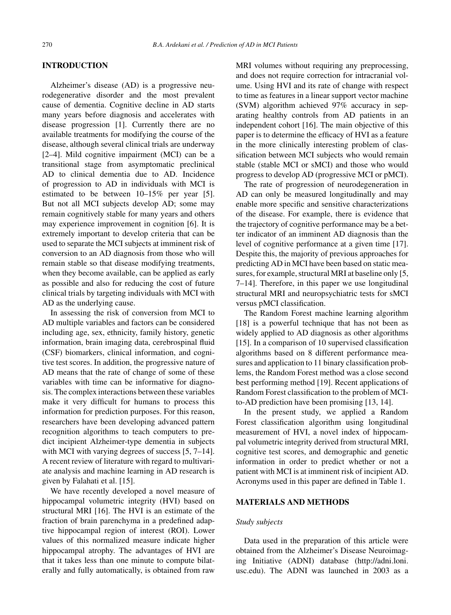## **INTRODUCTION**

Alzheimer's disease (AD) is a progressive neurodegenerative disorder and the most prevalent cause of dementia. Cognitive decline in AD starts many years before diagnosis and accelerates with disease progression [1]. Currently there are no available treatments for modifying the course of the disease, although several clinical trials are underway [2–4]. Mild cognitive impairment (MCI) can be a transitional stage from asymptomatic preclinical AD to clinical dementia due to AD. Incidence of progression to AD in individuals with MCI is estimated to be between 10–15% per year [5]. But not all MCI subjects develop AD; some may remain cognitively stable for many years and others may experience improvement in cognition [6]. It is extremely important to develop criteria that can be used to separate the MCI subjects at imminent risk of conversion to an AD diagnosis from those who will remain stable so that disease modifying treatments, when they become available, can be applied as early as possible and also for reducing the cost of future clinical trials by targeting individuals with MCI with AD as the underlying cause.

In assessing the risk of conversion from MCI to AD multiple variables and factors can be considered including age, sex, ethnicity, family history, genetic information, brain imaging data, cerebrospinal fluid (CSF) biomarkers, clinical information, and cognitive test scores. In addition, the progressive nature of AD means that the rate of change of some of these variables with time can be informative for diagnosis. The complex interactions between these variables make it very difficult for humans to process this information for prediction purposes. For this reason, researchers have been developing advanced pattern recognition algorithms to teach computers to predict incipient Alzheimer-type dementia in subjects with MCI with varying degrees of success [5, 7–14]. A recent review of literature with regard to multivariate analysis and machine learning in AD research is given by Falahati et al. [15].

We have recently developed a novel measure of hippocampal volumetric integrity (HVI) based on structural MRI [16]. The HVI is an estimate of the fraction of brain parenchyma in a predefined adaptive hippocampal region of interest (ROI). Lower values of this normalized measure indicate higher hippocampal atrophy. The advantages of HVI are that it takes less than one minute to compute bilaterally and fully automatically, is obtained from raw

MRI volumes without requiring any preprocessing, and does not require correction for intracranial volume. Using HVI and its rate of change with respect to time as features in a linear support vector machine (SVM) algorithm achieved 97% accuracy in separating healthy controls from AD patients in an independent cohort [16]. The main objective of this paper is to determine the efficacy of HVI as a feature in the more clinically interesting problem of classification between MCI subjects who would remain stable (stable MCI or sMCI) and those who would progress to develop AD (progressive MCI or pMCI).

The rate of progression of neurodegeneration in AD can only be measured longitudinally and may enable more specific and sensitive characterizations of the disease. For example, there is evidence that the trajectory of cognitive performance may be a better indicator of an imminent AD diagnosis than the level of cognitive performance at a given time [17]. Despite this, the majority of previous approaches for predicting AD in MCI have been based on static measures, for example, structural MRI at baseline only [5, 7–14]. Therefore, in this paper we use longitudinal structural MRI and neuropsychiatric tests for sMCI versus pMCI classification.

The Random Forest machine learning algorithm [18] is a powerful technique that has not been as widely applied to AD diagnosis as other algorithms [15]. In a comparison of 10 supervised classification algorithms based on 8 different performance measures and application to 11 binary classification problems, the Random Forest method was a close second best performing method [19]. Recent applications of Random Forest classification to the problem of MCIto-AD prediction have been promising [13, 14].

In the present study, we applied a Random Forest classification algorithm using longitudinal measurement of HVI, a novel index of hippocampal volumetric integrity derived from structural MRI, cognitive test scores, and demographic and genetic information in order to predict whether or not a patient with MCI is at imminent risk of incipient AD. Acronyms used in this paper are defined in Table 1.

# **MATERIALS AND METHODS**

## *Study subjects*

Data used in the preparation of this article were obtained from the Alzheimer's Disease Neuroimaging Initiative (ADNI) database ([http://adni.loni.](http://adni.loni.usc.edu) [usc.edu\)](http://adni.loni.usc.edu). The ADNI was launched in 2003 as a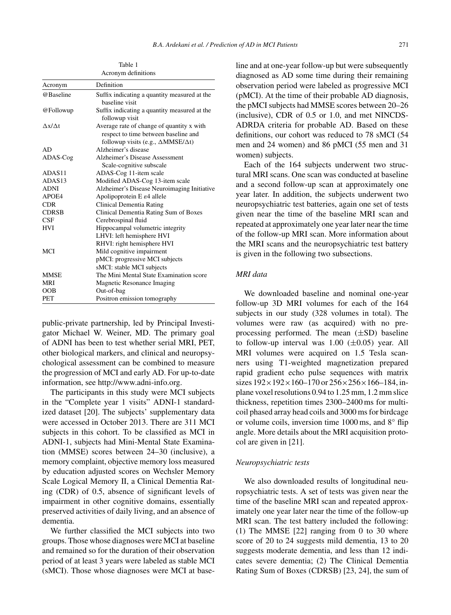Table 1 Acronym definitions

| Acronym               | Definition                                                                                                                                   |  |  |  |
|-----------------------|----------------------------------------------------------------------------------------------------------------------------------------------|--|--|--|
| @Baseline             | Suffix indicating a quantity measured at the<br>haseline visit                                                                               |  |  |  |
| @Followup             | Suffix indicating a quantity measured at the<br>followup visit                                                                               |  |  |  |
| $\Lambda x/\Lambda t$ | Average rate of change of quantity x with<br>respect to time between baseline and<br>followup visits (e.g., $\triangle$ MMSE/ $\triangle$ t) |  |  |  |
| AD                    | Alzheimer's disease                                                                                                                          |  |  |  |
| ADAS-Cog              | Alzheimer's Disease Assessment                                                                                                               |  |  |  |
|                       | Scale-cognitive subscale                                                                                                                     |  |  |  |
| ADAS <sub>11</sub>    | ADAS-Cog 11-item scale                                                                                                                       |  |  |  |
| ADAS13                | Modified ADAS-Cog 13-item scale                                                                                                              |  |  |  |
| <b>ADNI</b>           | Alzheimer's Disease Neuroimaging Initiative                                                                                                  |  |  |  |
| APOE4                 | Apolipoprotein E $\varepsilon$ 4 allele                                                                                                      |  |  |  |
| CDR.                  | Clinical Dementia Rating                                                                                                                     |  |  |  |
| <b>CDRSB</b>          | Clinical Dementia Rating Sum of Boxes                                                                                                        |  |  |  |
| CSF                   | Cerebrospinal fluid                                                                                                                          |  |  |  |
| <b>HVI</b>            | Hippocampal volumetric integrity                                                                                                             |  |  |  |
|                       | LHVI: left hemisphere HVI                                                                                                                    |  |  |  |
|                       | RHVI: right hemisphere HVI                                                                                                                   |  |  |  |
| MCI                   | Mild cognitive impairment                                                                                                                    |  |  |  |
|                       | pMCI: progressive MCI subjects                                                                                                               |  |  |  |
|                       | sMCI: stable MCI subjects                                                                                                                    |  |  |  |
| <b>MMSE</b>           | The Mini Mental State Examination score                                                                                                      |  |  |  |
| MRI                   | Magnetic Resonance Imaging                                                                                                                   |  |  |  |
| OOB                   | Out-of-bag                                                                                                                                   |  |  |  |
| PET                   | Positron emission tomography                                                                                                                 |  |  |  |

public-private partnership, led by Principal Investigator Michael W. Weiner, MD. The primary goal of ADNI has been to test whether serial MRI, PET, other biological markers, and clinical and neuropsychological assessment can be combined to measure the progression of MCI and early AD. For up-to-date information, see [http://www.adni-info.org.](http://www.adni-info.org)

The participants in this study were MCI subjects in the "Complete year 1 visits" ADNI-1 standardized dataset [20]. The subjects' supplementary data were accessed in October 2013. There are 311 MCI subjects in this cohort. To be classified as MCI in ADNI-1, subjects had Mini-Mental State Examination (MMSE) scores between 24–30 (inclusive), a memory complaint, objective memory loss measured by education adjusted scores on Wechsler Memory Scale Logical Memory II, a Clinical Dementia Rating (CDR) of 0.5, absence of significant levels of impairment in other cognitive domains, essentially preserved activities of daily living, and an absence of dementia.

We further classified the MCI subjects into two groups. Those whose diagnoses were MCI at baseline and remained so for the duration of their observation period of at least 3 years were labeled as stable MCI (sMCI). Those whose diagnoses were MCI at baseline and at one-year follow-up but were subsequently diagnosed as AD some time during their remaining observation period were labeled as progressive MCI (pMCI). At the time of their probable AD diagnosis, the pMCI subjects had MMSE scores between 20–26 (inclusive), CDR of 0.5 or 1.0, and met NINCDS-ADRDA criteria for probable AD. Based on these definitions, our cohort was reduced to 78 sMCI (54 men and 24 women) and 86 pMCI (55 men and 31 women) subjects.

Each of the 164 subjects underwent two structural MRI scans. One scan was conducted at baseline and a second follow-up scan at approximately one year later. In addition, the subjects underwent two neuropsychiatric test batteries, again one set of tests given near the time of the baseline MRI scan and repeated at approximately one year later near the time of the follow-up MRI scan. More information about the MRI scans and the neuropsychiatric test battery is given in the following two subsections.

# *MRI data*

We downloaded baseline and nominal one-year follow-up 3D MRI volumes for each of the 164 subjects in our study (328 volumes in total). The volumes were raw (as acquired) with no preprocessing performed. The mean  $(\pm SD)$  baseline to follow-up interval was  $1.00$  ( $\pm 0.05$ ) year. All MRI volumes were acquired on 1.5 Tesla scanners using T1-weighted magnetization prepared rapid gradient echo pulse sequences with matrix sizes  $192 \times 192 \times 160 - 170$  or  $256 \times 256 \times 166 - 184$ , inplane voxel resolutions 0.94 to 1.25 mm, 1.2 mm slice thickness, repetition times 2300–2400 ms for multicoil phased array head coils and 3000 ms for birdcage or volume coils, inversion time 1000 ms, and 8° flip angle. More details about the MRI acquisition protocol are given in [21].

#### *Neuropsychiatric tests*

We also downloaded results of longitudinal neuropsychiatric tests. A set of tests was given near the time of the baseline MRI scan and repeated approximately one year later near the time of the follow-up MRI scan. The test battery included the following: (1) The MMSE [22] ranging from 0 to 30 where score of 20 to 24 suggests mild dementia, 13 to 20 suggests moderate dementia, and less than 12 indicates severe dementia; (2) The Clinical Dementia Rating Sum of Boxes (CDRSB) [23, 24], the sum of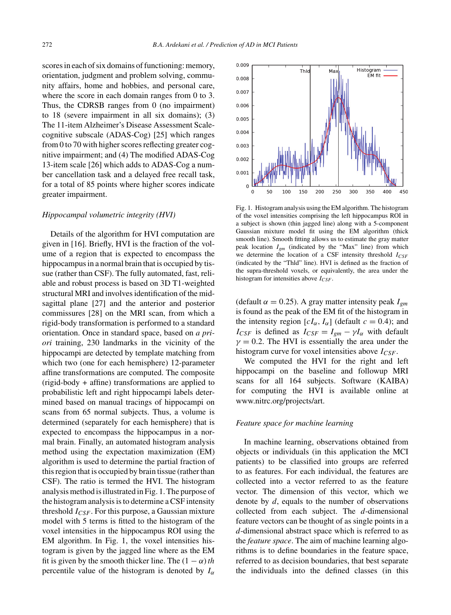scores in each of six domains of functioning: memory, orientation, judgment and problem solving, community affairs, home and hobbies, and personal care, where the score in each domain ranges from 0 to 3. Thus, the CDRSB ranges from 0 (no impairment) to 18 (severe impairment in all six domains); (3) The 11-item Alzheimer's Disease Assessment Scalecognitive subscale (ADAS-Cog) [25] which ranges from 0 to 70 with higher scores reflecting greater cognitive impairment; and (4) The modified ADAS-Cog 13-item scale [26] which adds to ADAS-Cog a number cancellation task and a delayed free recall task, for a total of 85 points where higher scores indicate greater impairment.

# *Hippocampal volumetric integrity (HVI)*

Details of the algorithm for HVI computation are given in [16]. Briefly, HVI is the fraction of the volume of a region that is expected to encompass the hippocampus in a normal brain that is occupied by tissue (rather than CSF). The fully automated, fast, reliable and robust process is based on 3D T1-weighted structural MRI and involves identification of the midsagittal plane [27] and the anterior and posterior commissures [28] on the MRI scan, from which a rigid-body transformation is performed to a standard orientation. Once in standard space, based on *a priori* training, 230 landmarks in the vicinity of the hippocampi are detected by template matching from which two (one for each hemisphere) 12-parameter affine transformations are computed. The composite (rigid-body + affine) transformations are applied to probabilistic left and right hippocampi labels determined based on manual tracings of hippocampi on scans from 65 normal subjects. Thus, a volume is determined (separately for each hemisphere) that is expected to encompass the hippocampus in a normal brain. Finally, an automated histogram analysis method using the expectation maximization (EM) algorithm is used to determine the partial fraction of this region that is occupied by brain tissue (rather than CSF). The ratio is termed the HVI. The histogram analysis method is illustrated in Fig. 1. The purpose of the histogram analysis is to determine a CSF intensity threshold *ICSF* . For this purpose, a Gaussian mixture model with 5 terms is fitted to the histogram of the voxel intensities in the hippocampus ROI using the EM algorithm. In Fig. 1, the voxel intensities histogram is given by the jagged line where as the EM fit is given by the smooth thicker line. The  $(1 - \alpha)$  *th* percentile value of the histogram is denoted by  $I_{\alpha}$ 



Fig. 1. Histogram analysis using the EM algorithm. The histogram of the voxel intensities comprising the left hippocampus ROI in a subject is shown (thin jagged line) along with a 5-component Gaussian mixture model fit using the EM algorithm (thick smooth line). Smooth fitting allows us to estimate the gray matter peak location *Igm* (indicated by the "Max" line) from which we determine the location of a CSF intensity threshold *ICSF* (indicated by the "Thld" line). HVI is defined as the fraction of the supra-threshold voxels, or equivalently, the area under the histogram for intensities above *ICSF* .

(default  $\alpha = 0.25$ ). A gray matter intensity peak  $I_{gm}$ is found as the peak of the EM fit of the histogram in the intensity region  $[cI_{\alpha}, I_{\alpha}]$  (default  $c = 0.4$ ); and *ICSF* is defined as  $I_{CSF} = I_{gm} - \gamma I_{\alpha}$  with default  $\gamma = 0.2$ . The HVI is essentially the area under the histogram curve for voxel intensities above *ICSF* .

We computed the HVI for the right and left hippocampi on the baseline and followup MRI scans for all 164 subjects. Software (KAIBA) for computing the HVI is available online at [www.nitrc.org/projects/art.](www.nitrc.org/projects/art)

# *Feature space for machine learning*

In machine learning, observations obtained from objects or individuals (in this application the MCI patients) to be classified into groups are referred to as features. For each individual, the features are collected into a vector referred to as the feature vector. The dimension of this vector, which we denote by *d*, equals to the number of observations collected from each subject. The *d*-dimensional feature vectors can be thought of as single points in a *d*-dimensional abstract space which is referred to as the *feature space*. The aim of machine learning algorithms is to define boundaries in the feature space, referred to as decision boundaries, that best separate the individuals into the defined classes (in this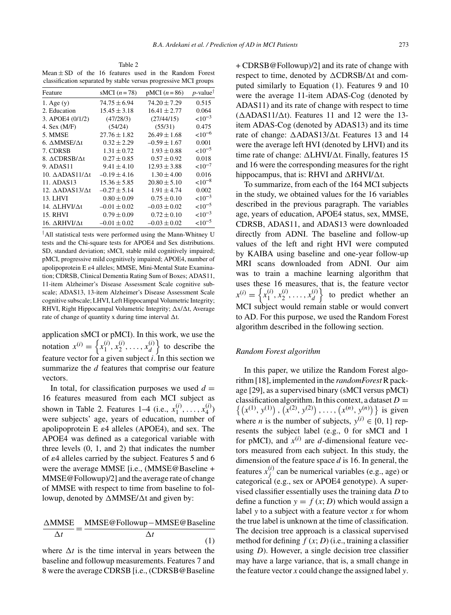Table 2 Mean  $\pm$  SD of the 16 features used in the Random Forest classification separated by stable versus progressive MCI groups

| Feature                               | sMCI $(n=78)$    | $pMCI(n = 86)$   | $p$ -value <sup>†</sup> |
|---------------------------------------|------------------|------------------|-------------------------|
| 1. Age $(y)$                          | $74.75 \pm 6.94$ | $74.20 \pm 7.29$ | 0.515                   |
| 2. Education                          | $15.45 \pm 3.18$ | $16.41 \pm 2.77$ | 0.064                   |
| 3. APOE4 (0/1/2)                      | (47/28/3)        | (27/44/15)       | $< 10^{-3}$             |
| 4. Sex $(M/F)$                        | (54/24)          | (55/31)          | 0.475                   |
| 5. MMSE                               | $27.76 \pm 1.82$ | $26.49 \pm 1.68$ | ${<}10^{-6}$            |
| 6. AMMSE/At                           | $0.32 \pm 2.29$  | $-0.59 \pm 1.67$ | 0.001                   |
| 7. CDRSB                              | $1.31 \pm 0.72$  | $1.93 \pm 0.88$  | ${<}10^{-5}$            |
| 8. ∆CDRSB/∆t                          | $0.27 \pm 0.85$  | $0.57 \pm 0.92$  | 0.018                   |
| 9. ADAS11                             | $9.41 \pm 4.10$  | $12.93 \pm 3.88$ | $< 10^{-7}$             |
| 10. $\triangle$ ADAS11/ $\triangle$ t | $-0.19 \pm 4.16$ | $1.30 \pm 4.00$  | 0.016                   |
| 11. ADAS13                            | $15.36 \pm 5.85$ | $20.80 \pm 5.10$ | ${<}10^{-8}$            |
| $12. \,\mathrm{AADAS}13/\mathrm{At}$  | $-0.27 \pm 5.14$ | $1.91 \pm 4.74$  | 0.002                   |
| <b>13. LHVI</b>                       | $0.80 \pm 0.09$  | $0.75 \pm 0.10$  | $< 10^{-3}$             |
| 14. ALHVI/At                          | $-0.01 \pm 0.02$ | $-0.03 \pm 0.02$ | ${<}10^{-5}$            |
| <b>15. RHVI</b>                       | $0.79 \pm 0.09$  | $0.72 \pm 0.10$  | $< 10^{-3}$             |
| 16. ARHVI/At                          | $-0.01 \pm 0.02$ | $-0.03 \pm 0.02$ | ${<}10^{-5}$            |
|                                       |                  |                  |                         |

†All statistical tests were performed using the Mann-Whitney U tests and the Chi-square tests for APOE4 and Sex distributions. SD, standard deviation; sMCI, stable mild cognitively impaired; pMCI, progressive mild cognitively impaired; APOE4, number of apolipoprotein E  $\varepsilon$ 4 alleles; MMSE, Mini-Mental State Examination; CDRSB, Clinical Dementia Rating Sum of Boxes; ADAS11, 11-item Alzheimer's Disease Assessment Scale cognitive subscale; ADAS13, 13-item Alzheimer's Disease Assessment Scale cognitive subscale; LHVI, Left Hippocampal Volumetric Integrity; RHVI, Right Hippocampal Volumetric Integrity; ∆x/∆t, Average rate of change of quantity x during time interval  $\Delta t$ .

application sMCI or pMCI). In this work, we use the notation  $x^{(i)} = \left\{ x_1^{(i)}, x_2^{(i)}, \dots, x_d^{(i)} \right\}$  to describe the feature vector for a given subject *i*. In this section we summarize the *d* features that comprise our feature vectors.

In total, for classification purposes we used  $d =$ 16 features measured from each MCI subject as shown in Table 2. Features 1–4 (i.e.,  $x_1^{(i)}, \ldots, x_4^{(i)}$ ) were subjects' age, years of education, number of apolipoprotein E  $\varepsilon$ 4 alleles (APOE4), and sex. The APOE4 was defined as a categorical variable with three levels (0, 1, and 2) that indicates the number of  $\varepsilon$ 4 alleles carried by the subject. Features 5 and 6 were the average MMSE [i.e., (MMSE@Baseline + MMSE@Followup)/2] and the average rate of change of MMSE with respect to time from baseline to followup, denoted by  $\triangle$ MMSE/ $\triangle$ t and given by:

# *-*MMSE  $\frac{MMSE}{\Delta t} = \frac{MMSE@Followup - MMSE@Baseline}{\Delta t}$ (1)

where  $\Delta t$  is the time interval in years between the baseline and followup measurements. Features 7 and 8 were the average CDRSB [i.e., (CDRSB@Baseline + CDRSB@Followup)/2] and its rate of change with respect to time, denoted by  $\triangle$ CDRSB/ $\triangle$ t and computed similarly to Equation (1). Features 9 and 10 were the average 11-item ADAS-Cog (denoted by ADAS11) and its rate of change with respect to time  $(AADAS11/\Delta t)$ . Features 11 and 12 were the 13item ADAS-Cog (denoted by ADAS13) and its time rate of change:  $\triangle$ ADAS13/ $\triangle$ t. Features 13 and 14 were the average left HVI (denoted by LHVI) and its time rate of change:  $\Delta LHVI/\Delta t$ . Finally, features 15 and 16 were the corresponding measures for the right hippocampus, that is: RHVI and  $\triangle$ RHVI/ $\triangle$ t.

To summarize, from each of the 164 MCI subjects in the study, we obtained values for the 16 variables described in the previous paragraph. The variables age, years of education, APOE4 status, sex, MMSE, CDRSB, ADAS11, and ADAS13 were downloaded directly from ADNI. The baseline and follow-up values of the left and right HVI were computed by KAIBA using baseline and one-year follow-up MRI scans downloaded from ADNI. Our aim was to train a machine learning algorithm that uses these 16 measures, that is, the feature vector  $x^{(i)} = \left\{ x_1^{(i)}, x_2^{(i)}, \ldots, x_d^{(i)} \right\}$  to predict whether an MCI subject would remain stable or would convert to AD. For this purpose, we used the Random Forest algorithm described in the following section.

#### *Random Forest algorithm*

In this paper, we utilize the Random Forest algorithm [18], implemented in the *randomForest*R package [29], as a supervised binary (sMCI versus pMCI)  $\{(x^{(1)}, y^{(1)}), (x^{(2)}, y^{(2)}), \ldots, (x^{(n)}, y^{(n)})\}$  is given classification algorithm. In this context, a dataset  $D =$ where *n* is the number of subjects,  $y^{(i)} \in \{0, 1\}$  represents the subject label (e.g., 0 for sMCI and 1 for pMCI), and  $x^{(i)}$  are *d*-dimensional feature vectors measured from each subject. In this study, the dimension of the feature space *d* is 16. In general, the features  $x_j^{(i)}$  can be numerical variables (e.g., age) or categorical (e.g., sex or APOE4 genotype). A supervised classifier essentially uses the training data *D* to define a function  $y = f(x; D)$  which would assign a label *y* to a subject with a feature vector *x* for whom the true label is unknown at the time of classification. The decision tree approach is a classical supervised method for defining *f* (*x*; *D*) (i.e., training a classifier using *D*). However, a single decision tree classifier may have a large variance, that is, a small change in the feature vector *x* could change the assigned label *y*.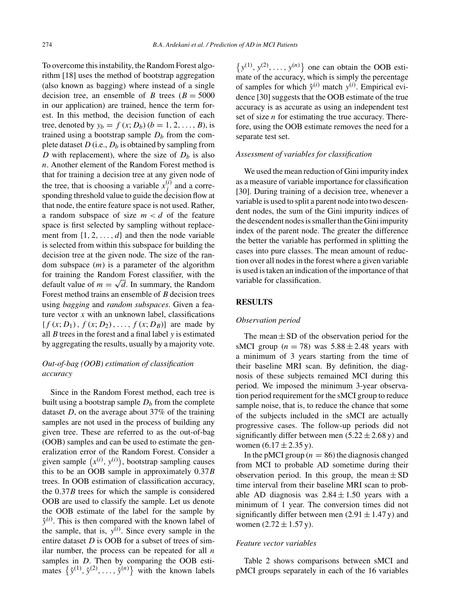To overcome this instability, the Random Forest algorithm [18] uses the method of bootstrap aggregation (also known as bagging) where instead of a single decision tree, an ensemble of *B* trees ( $B = 5000$ in our application) are trained, hence the term forest. In this method, the decision function of each tree, denoted by  $y_b = f(x; D_b)$   $(b = 1, 2, \ldots, B)$ , is trained using a bootstrap sample  $D_b$  from the complete dataset  $D$  (i.e.,  $D_b$  is obtained by sampling from *D* with replacement), where the size of  $D_b$  is also *n*. Another element of the Random Forest method is that for training a decision tree at any given node of the tree, that is choosing a variable  $x_j^{(i)}$  and a corresponding threshold value to guide the decision flow at that node, the entire feature space is not used. Rather, a random subspace of size  $m < d$  of the feature space is first selected by sampling without replacement from {1*,* 2*,...,d*} and then the node variable is selected from within this subspace for building the decision tree at the given node. The size of the random subspace (*m*) is a parameter of the algorithm for training the Random Forest classifier, with the default value of  $m = \sqrt{d}$ . In summary, the Random Forest method trains an ensemble of *B* decision trees using *bagging* and *random subspaces*. Given a feature vector  $x$  with an unknown label, classifications  ${f(x; D_1), f(x; D_2), \ldots, f(x; D_B)}$  are made by all *B* trees in the forest and a final label *y* is estimated by aggregating the results, usually by a majority vote.

# *Out-of-bag (OOB) estimation of classification accuracy*

Since in the Random Forest method, each tree is built using a bootstrap sample  $D<sub>b</sub>$  from the complete dataset *D*, on the average about 37% of the training samples are not used in the process of building any given tree. These are referred to as the out-of-bag (OOB) samples and can be used to estimate the generalization error of the Random Forest. Consider a given sample  $(x^{(i)}, y^{(i)})$ , bootstrap sampling causes this to be an OOB sample in approximately 0*.*37*B* trees. In OOB estimation of classification accuracy, the 0*.*37*B* trees for which the sample is considered OOB are used to classify the sample. Let us denote the OOB estimate of the label for the sample by  $\hat{y}^{(i)}$ . This is then compared with the known label of the sample, that is,  $y^{(i)}$ . Since every sample in the entire dataset *D* is OOB for a subset of trees of similar number, the process can be repeated for all *n* samples in *D*. Then by comparing the OOB estimates  $\{\hat{y}^{(1)}, \hat{y}^{(2)}, \ldots, \hat{y}^{(n)}\}$  with the known labels

 $\{y^{(1)}, y^{(2)}, \ldots, y^{(n)}\}$  one can obtain the OOB estimate of the accuracy, which is simply the percentage of samples for which  $\hat{y}^{(i)}$  match  $y^{(i)}$ . Empirical evidence [30] suggests that the OOB estimate of the true accuracy is as accurate as using an independent test set of size *n* for estimating the true accuracy. Therefore, using the OOB estimate removes the need for a separate test set.

# *Assessment of variables for classification*

We used the mean reduction of Gini impurity index as a measure of variable importance for classification [30]. During training of a decision tree, whenever a variable is used to split a parent node into two descendent nodes, the sum of the Gini impurity indices of the descendent nodes is smaller than the Gini impurity index of the parent node. The greater the difference the better the variable has performed in splitting the cases into pure classes. The mean amount of reduction over all nodes in the forest where a given variable is used is taken an indication of the importance of that variable for classification.

# **RESULTS**

#### *Observation period*

The mean  $\pm$  SD of the observation period for the sMCI group  $(n = 78)$  was  $5.88 \pm 2.48$  years with a minimum of 3 years starting from the time of their baseline MRI scan. By definition, the diagnosis of these subjects remained MCI during this period. We imposed the minimum 3-year observation period requirement for the sMCI group to reduce sample noise, that is, to reduce the chance that some of the subjects included in the sMCI are actually progressive cases. The follow-up periods did not significantly differ between men  $(5.22 \pm 2.68 \text{ y})$  and women  $(6.17 \pm 2.35 \text{ y})$ .

In the pMCI group ( $n = 86$ ) the diagnosis changed from MCI to probable AD sometime during their observation period. In this group, the mean  $\pm$  SD time interval from their baseline MRI scan to probable AD diagnosis was  $2.84 \pm 1.50$  years with a minimum of 1 year. The conversion times did not significantly differ between men  $(2.91 \pm 1.47 \text{ y})$  and women  $(2.72 \pm 1.57 \text{ y})$ .

#### *Feature vector variables*

Table 2 shows comparisons between sMCI and pMCI groups separately in each of the 16 variables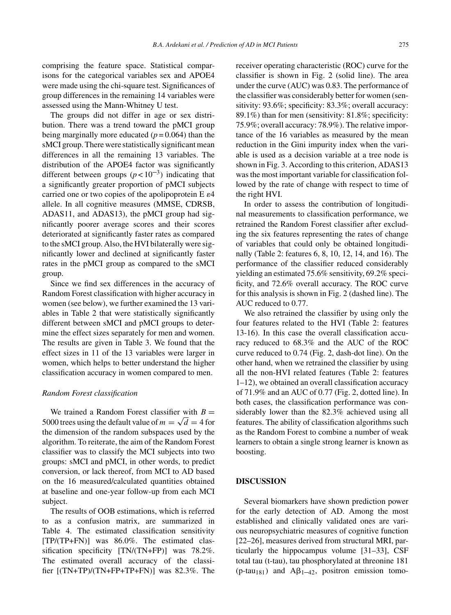comprising the feature space. Statistical comparisons for the categorical variables sex and APOE4 were made using the chi-square test. Significances of group differences in the remaining 14 variables were assessed using the Mann-Whitney U test.

The groups did not differ in age or sex distribution. There was a trend toward the pMCI group being marginally more educated  $(p=0.064)$  than the sMCI group. There were statistically significant mean differences in all the remaining 13 variables. The distribution of the APOE4 factor was significantly different between groups  $(p < 10^{-3})$  indicating that a significantly greater proportion of pMCI subjects carried one or two copies of the apolipoprotein E  $\varepsilon$ 4 allele. In all cognitive measures (MMSE, CDRSB, ADAS11, and ADAS13), the pMCI group had significantly poorer average scores and their scores deteriorated at significantly faster rates as compared to the sMCI group. Also, the HVI bilaterally were significantly lower and declined at significantly faster rates in the pMCI group as compared to the sMCI group.

Since we find sex differences in the accuracy of Random Forest classification with higher accuracy in women (see below), we further examined the 13 variables in Table 2 that were statistically significantly different between sMCI and pMCI groups to determine the effect sizes separately for men and women. The results are given in Table 3. We found that the effect sizes in 11 of the 13 variables were larger in women, which helps to better understand the higher classification accuracy in women compared to men.

#### *Random Forest classification*

We trained a Random Forest classifier with  $B =$ 5000 trees using the default value of  $m = \sqrt{d} = 4$  for the dimension of the random subspaces used by the algorithm. To reiterate, the aim of the Random Forest classifier was to classify the MCI subjects into two groups: sMCI and pMCI, in other words, to predict conversion, or lack thereof, from MCI to AD based on the 16 measured/calculated quantities obtained at baseline and one-year follow-up from each MCI subject.

The results of OOB estimations, which is referred to as a confusion matrix, are summarized in Table 4. The estimated classification sensitivity [TP/(TP+FN)] was 86.0%. The estimated classification specificity [TN/(TN+FP)] was 78.2%. The estimated overall accuracy of the classifier [(TN+TP)/(TN+FP+TP+FN)] was 82.3%. The

receiver operating characteristic (ROC) curve for the classifier is shown in Fig. 2 (solid line). The area under the curve (AUC) was 0.83. The performance of the classifier was considerably better for women (sensitivity: 93.6%; specificity: 83.3%; overall accuracy: 89.1%) than for men (sensitivity: 81.8%; specificity: 75.9%; overall accuracy: 78.9%). The relative importance of the 16 variables as measured by the mean reduction in the Gini impurity index when the variable is used as a decision variable at a tree node is shown in Fig. 3. According to this criterion, ADAS13 was the most important variable for classification followed by the rate of change with respect to time of the right HVI.

In order to assess the contribution of longitudinal measurements to classification performance, we retrained the Random Forest classifier after excluding the six features representing the rates of change of variables that could only be obtained longitudinally (Table 2: features 6, 8, 10, 12, 14, and 16). The performance of the classifier reduced considerably yielding an estimated 75.6% sensitivity, 69.2% specificity, and 72.6% overall accuracy. The ROC curve for this analysis is shown in Fig. 2 (dashed line). The AUC reduced to 0.77.

We also retrained the classifier by using only the four features related to the HVI (Table 2: features 13-16). In this case the overall classification accuracy reduced to 68.3% and the AUC of the ROC curve reduced to 0.74 (Fig. 2, dash-dot line). On the other hand, when we retrained the classifier by using all the non-HVI related features (Table 2: features 1–12), we obtained an overall classification accuracy of 71.9% and an AUC of 0.77 (Fig. 2, dotted line). In both cases, the classification performance was considerably lower than the 82.3% achieved using all features. The ability of classification algorithms such as the Random Forest to combine a number of weak learners to obtain a single strong learner is known as boosting.

# **DISCUSSION**

Several biomarkers have shown prediction power for the early detection of AD. Among the most established and clinically validated ones are various neuropsychiatric measures of cognitive function [22–26], measures derived from structural MRI, particularly the hippocampus volume [31–33], CSF total tau (t-tau), tau phosphorylated at threonine 181  $(p$ -tau<sub>181</sub>) and  $A\beta_{1-42}$ , positron emission tomo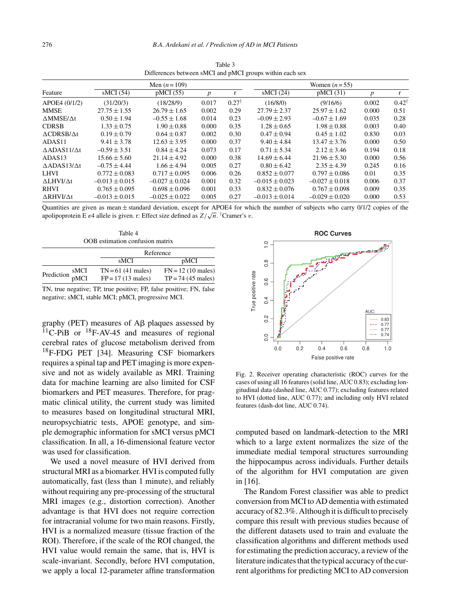Table 3

| Differences between sMCI and pMCI groups within each sex |           |                   |       |      |          |                |       |          |
|----------------------------------------------------------|-----------|-------------------|-------|------|----------|----------------|-------|----------|
|                                                          |           | Men $(n = 109)$   |       |      |          | Women $(n=55)$ |       |          |
| Feature                                                  | SMCI(54)  | $\text{pMCI}(55)$ |       |      | SMCI(24) | pMCI(31)       |       |          |
| APOE4 (0/1/2)                                            | (31/20/3) | (18/28/9)         | 0.017 | 0.27 | (16/8/0) | (9/16/6)       | 0.002 | $^{0.4}$ |

| r caunc                           | SIVICI (JH)       | PIVICI (JJ)       |       |                  | $SIVICL (2+1)$    | PIVLI (JI)        | ν     |                  |
|-----------------------------------|-------------------|-------------------|-------|------------------|-------------------|-------------------|-------|------------------|
| APOE4 (0/1/2)                     | (31/20/3)         | (18/28/9)         | 0.017 | $0.27^{\dagger}$ | (16/8/0)          | (9/16/6)          | 0.002 | $0.42^{\dagger}$ |
| MMSE                              | $27.75 + 1.55$    | $26.79 \pm 1.65$  | 0.002 | 0.29             | $27.79 \pm 2.37$  | $25.97 \pm 1.62$  | 0.000 | 0.51             |
| $\triangle MMSE/\triangle t$      | $0.50 \pm 1.94$   | $-0.55 \pm 1.68$  | 0.014 | 0.23             | $-0.09 \pm 2.93$  | $-0.67 \pm 1.69$  | 0.035 | 0.28             |
| CDRSB                             | $1.33 \pm 0.75$   | $1.90 \pm 0.88$   | 0.000 | 0.35             | $1.28 \pm 0.65$   | $1.98 \pm 0.88$   | 0.003 | 0.40             |
| $\triangle$ CDRSB/ $\triangle$ t  | $0.19 \pm 0.79$   | $0.64 \pm 0.87$   | 0.002 | 0.30             | $0.47 \pm 0.94$   | $0.45 \pm 1.02$   | 0.830 | 0.03             |
| ADAS11                            | $9.41 \pm 3.78$   | $12.63 + 3.95$    | 0.000 | 0.37             | $9.40 \pm 4.84$   | $13.47 \pm 3.76$  | 0.000 | 0.50             |
| $\triangle$ ADAS11/ $\triangle$ t | $-0.59 \pm 3.51$  | $0.84 \pm 4.24$   | 0.073 | 0.17             | $0.71 \pm 5.34$   | $2.12 \pm 3.46$   | 0.194 | 0.18             |
| ADAS <sub>13</sub>                | $15.66 \pm 5.60$  | $21.14 \pm 4.92$  | 0.000 | 0.38             | $14.69 \pm 6.44$  | $21.96 \pm 5.30$  | 0.000 | 0.56             |
| $\triangle$ ADAS13/ $\triangle$ t | $-0.75 \pm 4.44$  | $1.66 \pm 4.94$   | 0.005 | 0.27             | $0.80 \pm 6.42$   | $2.35 + 4.39$     | 0.245 | 0.16             |
| LHVI                              | $0.772 \pm 0.083$ | $0.717 \pm 0.095$ | 0.006 | 0.26             | $0.852 \pm 0.077$ | $0.797 \pm 0.086$ | 0.01  | 0.35             |
| ALHVI/At                          | $-0.013 + 0.015$  | $-0.027 + 0.024$  | 0.001 | 0.32             | $-0.015 + 0.023$  | $-0.027 + 0.018$  | 0.006 | 0.37             |
| RHVI                              | $0.765 \pm 0.095$ | $0.698 \pm 0.096$ | 0.001 | 0.33             | $0.832 \pm 0.076$ | $0.767 \pm 0.098$ | 0.009 | 0.35             |
| $\triangle$ RHVI/ $\triangle$ t   | $-0.013 + 0.015$  | $-0.025 + 0.022$  | 0.005 | 0.27             | $-0.013 + 0.014$  | $-0.029 + 0.020$  | 0.000 | 0.53             |

Quantities are given as mean ± standard deviation, except for APOE4 for which the number of subjects who carry 0/1/2 copies of the  $\alpha$  apolipoprotein E  $\varepsilon$ 4 allele is given. r: Effect size defined as  $Z/\sqrt{n}$ . <sup>†</sup>Cramer's *v*.

Table 4 OOB estimation confusion matrix

|                            | Reference                    |                              |  |  |  |
|----------------------------|------------------------------|------------------------------|--|--|--|
|                            | <b>sMCI</b>                  | pMCI                         |  |  |  |
| Prediction <sub>pMCI</sub> | $TN = 61 (41 \text{ males})$ | $FN = 12(10 \text{ males})$  |  |  |  |
|                            | $FP = 17 (13 males)$         | $TP = 74 (45 \text{ males})$ |  |  |  |

TN, true negative; TP, true positive; FP, false positive; FN, false negative; sMCI, stable MCI; pMCI, progressive MCI.

graphy (PET) measures of  $A\beta$  plaques assessed by  $11$ C-PiB or  $18$ F-AV-45 and measures of regional cerebral rates of glucose metabolism derived from <sup>18</sup>F-FDG PET [34]. Measuring CSF biomarkers requires a spinal tap and PET imaging is more expensive and not as widely available as MRI. Training data for machine learning are also limited for CSF biomarkers and PET measures. Therefore, for pragmatic clinical utility, the current study was limited to measures based on longitudinal structural MRI, neuropsychiatric tests, APOE genotype, and simple demographic information for sMCI versus pMCI classification. In all, a 16-dimensional feature vector was used for classification.

We used a novel measure of HVI derived from structural MRI as a biomarker. HVI is computed fully automatically, fast (less than 1 minute), and reliably without requiring any pre-processing of the structural MRI images (e.g., distortion correction). Another advantage is that HVI does not require correction for intracranial volume for two main reasons. Firstly, HVI is a normalized measure (tissue fraction of the ROI). Therefore, if the scale of the ROI changed, the HVI value would remain the same, that is, HVI is scale-invariant. Secondly, before HVI computation, we apply a local 12-parameter affine transformation



Fig. 2. Receiver operating characteristic (ROC) curves for the cases of using all 16 features (solid line, AUC 0.83); excluding longitudinal data (dashed line, AUC 0.77); excluding features related to HVI (dotted line, AUC 0.77); and including only HVI related features (dash-dot line, AUC 0.74).

computed based on landmark-detection to the MRI which to a large extent normalizes the size of the immediate medial temporal structures surrounding the hippocampus across individuals. Further details of the algorithm for HVI computation are given in [16].

The Random Forest classifier was able to predict conversion from MCI to AD dementia with estimated accuracy of 82.3%. Although it is difficult to precisely compare this result with previous studies because of the different datasets used to train and evaluate the classification algorithms and different methods used for estimating the prediction accuracy, a review of the literature indicates that the typical accuracy of the current algorithms for predicting MCI to AD conversion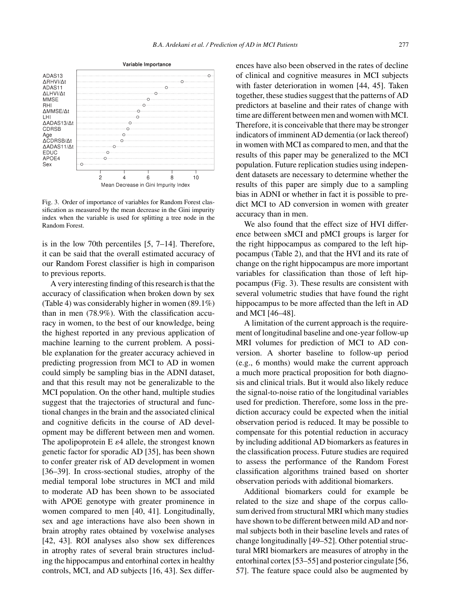

Fig. 3. Order of importance of variables for Random Forest classification as measured by the mean decrease in the Gini impurity index when the variable is used for splitting a tree node in the Random Forest.

is in the low 70th percentiles [5, 7–14]. Therefore, it can be said that the overall estimated accuracy of our Random Forest classifier is high in comparison to previous reports.

A very interesting finding of this research is that the accuracy of classification when broken down by sex (Table 4) was considerably higher in women (89.1%) than in men (78.9%). With the classification accuracy in women, to the best of our knowledge, being the highest reported in any previous application of machine learning to the current problem. A possible explanation for the greater accuracy achieved in predicting progression from MCI to AD in women could simply be sampling bias in the ADNI dataset, and that this result may not be generalizable to the MCI population. On the other hand, multiple studies suggest that the trajectories of structural and functional changes in the brain and the associated clinical and cognitive deficits in the course of AD development may be different between men and women. The apolipoprotein E  $\varepsilon$ 4 allele, the strongest known genetic factor for sporadic AD [35], has been shown to confer greater risk of AD development in women [36–39]. In cross-sectional studies, atrophy of the medial temporal lobe structures in MCI and mild to moderate AD has been shown to be associated with APOE genotype with greater prominence in women compared to men [40, 41]. Longitudinally, sex and age interactions have also been shown in brain atrophy rates obtained by voxelwise analyses [42, 43]. ROI analyses also show sex differences in atrophy rates of several brain structures including the hippocampus and entorhinal cortex in healthy controls, MCI, and AD subjects [16, 43]. Sex differences have also been observed in the rates of decline of clinical and cognitive measures in MCI subjects with faster deterioration in women [44, 45]. Taken together, these studies suggest that the patterns of AD predictors at baseline and their rates of change with time are different between men and women with MCI. Therefore, it is conceivable that there may be stronger indicators of imminent AD dementia (or lack thereof) in women with MCI as compared to men, and that the results of this paper may be generalized to the MCI population. Future replication studies using independent datasets are necessary to determine whether the results of this paper are simply due to a sampling bias in ADNI or whether in fact it is possible to predict MCI to AD conversion in women with greater accuracy than in men.

We also found that the effect size of HVI difference between sMCI and pMCI groups is larger for the right hippocampus as compared to the left hippocampus (Table 2), and that the HVI and its rate of change on the right hippocampus are more important variables for classification than those of left hippocampus (Fig. 3). These results are consistent with several volumetric studies that have found the right hippocampus to be more affected than the left in AD and MCI [46–48].

A limitation of the current approach is the requirement of longitudinal baseline and one-year follow-up MRI volumes for prediction of MCI to AD conversion. A shorter baseline to follow-up period (e.g., 6 months) would make the current approach a much more practical proposition for both diagnosis and clinical trials. But it would also likely reduce the signal-to-noise ratio of the longitudinal variables used for prediction. Therefore, some loss in the prediction accuracy could be expected when the initial observation period is reduced. It may be possible to compensate for this potential reduction in accuracy by including additional AD biomarkers as features in the classification process. Future studies are required to assess the performance of the Random Forest classification algorithms trained based on shorter observation periods with additional biomarkers.

Additional biomarkers could for example be related to the size and shape of the corpus callosum derived from structural MRI which many studies have shown to be different between mild AD and normal subjects both in their baseline levels and rates of change longitudinally [49–52]. Other potential structural MRI biomarkers are measures of atrophy in the entorhinal cortex [53–55] and posterior cingulate [56, 57]. The feature space could also be augmented by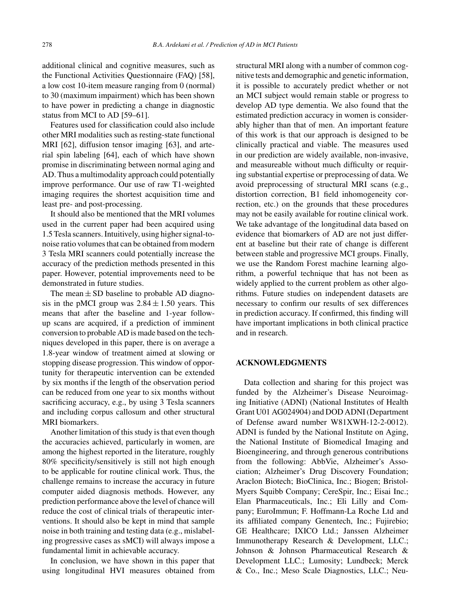additional clinical and cognitive measures, such as the Functional Activities Questionnaire (FAQ) [58], a low cost 10-item measure ranging from 0 (normal) to 30 (maximum impairment) which has been shown to have power in predicting a change in diagnostic status from MCI to AD [59–61].

Features used for classification could also include other MRI modalities such as resting-state functional MRI [62], diffusion tensor imaging [63], and arterial spin labeling [64], each of which have shown promise in discriminating between normal aging and AD. Thus a multimodality approach could potentially improve performance. Our use of raw T1-weighted imaging requires the shortest acquisition time and least pre- and post-processing.

It should also be mentioned that the MRI volumes used in the current paper had been acquired using 1.5 Tesla scanners. Intuitively, using higher signal-tonoise ratio volumes that can be obtained from modern 3 Tesla MRI scanners could potentially increase the accuracy of the prediction methods presented in this paper. However, potential improvements need to be demonstrated in future studies.

The mean  $\pm$  SD baseline to probable AD diagnosis in the pMCI group was  $2.84 \pm 1.50$  years. This means that after the baseline and 1-year followup scans are acquired, if a prediction of imminent conversion to probable AD is made based on the techniques developed in this paper, there is on average a 1.8-year window of treatment aimed at slowing or stopping disease progression. This window of opportunity for therapeutic intervention can be extended by six months if the length of the observation period can be reduced from one year to six months without sacrificing accuracy, e.g., by using 3 Tesla scanners and including corpus callosum and other structural MRI biomarkers.

Another limitation of this study is that even though the accuracies achieved, particularly in women, are among the highest reported in the literature, roughly 80% specificity/sensitively is still not high enough to be applicable for routine clinical work. Thus, the challenge remains to increase the accuracy in future computer aided diagnosis methods. However, any prediction performance above the level of chance will reduce the cost of clinical trials of therapeutic interventions. It should also be kept in mind that sample noise in both training and testing data (e.g., mislabeling progressive cases as sMCI) will always impose a fundamental limit in achievable accuracy.

In conclusion, we have shown in this paper that using longitudinal HVI measures obtained from

structural MRI along with a number of common cognitive tests and demographic and genetic information, it is possible to accurately predict whether or not an MCI subject would remain stable or progress to develop AD type dementia. We also found that the estimated prediction accuracy in women is considerably higher than that of men. An important feature of this work is that our approach is designed to be clinically practical and viable. The measures used in our prediction are widely available, non-invasive, and measureable without much difficulty or requiring substantial expertise or preprocessing of data. We avoid preprocessing of structural MRI scans (e.g., distortion correction, B1 field inhomogeneity correction, etc.) on the grounds that these procedures may not be easily available for routine clinical work. We take advantage of the longitudinal data based on evidence that biomarkers of AD are not just different at baseline but their rate of change is different between stable and progressive MCI groups. Finally, we use the Random Forest machine learning algorithm, a powerful technique that has not been as widely applied to the current problem as other algorithms. Future studies on independent datasets are necessary to confirm our results of sex differences in prediction accuracy. If confirmed, this finding will have important implications in both clinical practice and in research.

# **ACKNOWLEDGMENTS**

Data collection and sharing for this project was funded by the Alzheimer's Disease Neuroimaging Initiative (ADNI) (National Institutes of Health Grant U01 AG024904) and DOD ADNI (Department of Defense award number W81XWH-12-2-0012). ADNI is funded by the National Institute on Aging, the National Institute of Biomedical Imaging and Bioengineering, and through generous contributions from the following: AbbVie, Alzheimer's Association; Alzheimer's Drug Discovery Foundation; Araclon Biotech; BioClinica, Inc.; Biogen; Bristol-Myers Squibb Company; CereSpir, Inc.; Eisai Inc.; Elan Pharmaceuticals, Inc.; Eli Lilly and Company; EuroImmun; F. Hoffmann-La Roche Ltd and its affiliated company Genentech, Inc.; Fujirebio; GE Healthcare; IXICO Ltd.; Janssen Alzheimer Immunotherapy Research & Development, LLC.; Johnson & Johnson Pharmaceutical Research & Development LLC.; Lumosity; Lundbeck; Merck & Co., Inc.; Meso Scale Diagnostics, LLC.; Neu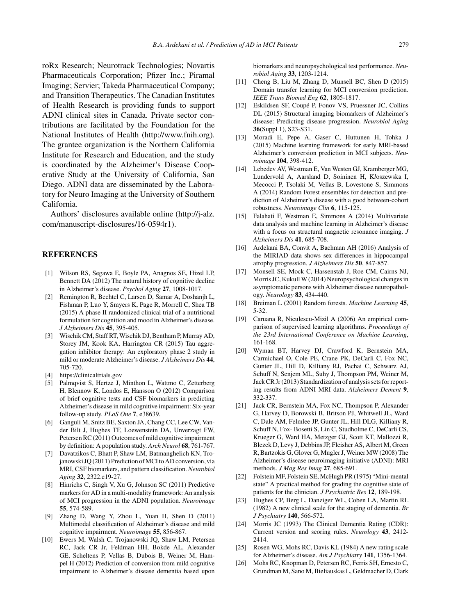roRx Research; Neurotrack Technologies; Novartis Pharmaceuticals Corporation; Pfizer Inc.; Piramal Imaging; Servier; Takeda Pharmaceutical Company; and Transition Therapeutics. The Canadian Institutes of Health Research is providing funds to support ADNI clinical sites in Canada. Private sector contributions are facilitated by the Foundation for the National Institutes of Health ([http://www.fnih.org\)](http://www.fnih.org). The grantee organization is the Northern California Institute for Research and Education, and the study is coordinated by the Alzheimer's Disease Cooperative Study at the University of California, San Diego. ADNI data are disseminated by the Laboratory for Neuro Imaging at the University of Southern California.

Authors' disclosures available online [\(http://j-alz.](http://j-alz.com/manuscript-disclosures/16-0594r1) [com/manuscript-disclosures/16-0594r1](http://j-alz.com/manuscript-disclosures/16-0594r1)).

# **REFERENCES**

- [1] Wilson RS, Segawa E, Boyle PA, Anagnos SE, Hizel LP, Bennett DA (2012) The natural history of cognitive decline in Alzheimer's disease. *Psychol Aging* **27**, 1008-1017.
- [2] Remington R, Bechtel C, Larsen D, Samar A, Doshanjh L, Fishman P, Luo Y, Smyers K, Page R, Morrell C, Shea TB (2015) A phase II randomized clinical trial of a nutritional formulation for cognition and mood in Alzheimer's disease. *J Alzheimers Dis* **45**, 395-405.
- [3] Wischik CM, Staff RT, Wischik DJ, Bentham P, Murray AD, Storey JM, Kook KA, Harrington CR (2015) Tau aggregation inhibitor therapy: An exploratory phase 2 study in mild or moderate Alzheimer's disease. *J Alzheimers Dis* **44**, 705-720.
- [4]<https://clinicaltrials.gov>
- [5] Palmqvist S, Hertze J, Minthon L, Wattmo C, Zetterberg H, Blennow K, Londos E, Hansson O (2012) Comparison of brief cognitive tests and CSF biomarkers in predicting Alzheimer's disease in mild cognitive impairment: Six-year follow-up study. *PLoS One* **7**, e38639.
- [6] Ganguli M, Snitz BE, Saxton JA, Chang CC, Lee CW, Vander Bilt J, Hughes TF, Loewenstein DA, Unverzagt FW, Petersen RC (2011) Outcomes of mild cognitive impairment by definition: A population study. *Arch Neurol* **68**, 761-767.
- [7] Davatzikos C, Bhatt P, Shaw LM, Batmanghelich KN, Trojanowski JQ (2011) Prediction of MCI to AD conversion, via MRI, CSF biomarkers, and pattern classification. *Neurobiol Aging* **32**, 2322.e19-27.
- [8] Hinrichs C, Singh V, Xu G, Johnson SC (2011) Predictive markers for AD in a multi-modality framework: An analysis of MCI progression in the ADNI population. *Neuroimage* **55**, 574-589.
- [9] Zhang D, Wang Y, Zhou L, Yuan H, Shen D (2011) Multimodal classification of Alzheimer's disease and mild cognitive impairment. *Neuroimage* **55**, 856-867.
- [10] Ewers M, Walsh C, Trojanowski JQ, Shaw LM, Petersen RC, Jack CR Jr, Feldman HH, Bokde AL, Alexander GE, Scheltens P, Vellas B, Dubois B, Weiner M, Hampel H (2012) Prediction of conversion from mild cognitive impairment to Alzheimer's disease dementia based upon

biomarkers and neuropsychological test performance. *Neurobiol Aging* **33**, 1203-1214.

- [11] Cheng B, Liu M, Zhang D, Munsell BC, Shen D (2015) Domain transfer learning for MCI conversion prediction. *IEEE Trans Biomed Eng* **62**, 1805-1817.
- [12] Eskildsen SF, Coupé P, Fonov VS, Pruessner JC, Collins DL (2015) Structural imaging biomarkers of Alzheimer's disease: Predicting disease progression. *Neurobiol Aging* **36**(Suppl 1), S23-S31.
- [13] Moradi E, Pepe A, Gaser C, Huttunen H, Tohka J (2015) Machine learning framework for early MRI-based Alzheimer's conversion prediction in MCI subjects. *Neuroimage* **104**, 398-412.
- [14] Lebedev AV, Westman E, Van Westen GJ, Kramberger MG, Lundervold A, Aarsland D, Soininen H, K*l*oszewska I, Mecocci P, Tsolaki M, Vellas B, Lovestone S, Simmons A (2014) Random Forest ensembles for detection and prediction of Alzheimer's disease with a good between-cohort robustness. *Neuroimage Clin* **6**, 115-125.
- [15] Falahati F, Westman E, Simmons A (2014) Multivariate data analysis and machine learning in Alzheimer's disease with a focus on structural magnetic resonance imaging. *J Alzheimers Dis* **41**, 685-708.
- [16] Ardekani BA, Convit A, Bachman AH (2016) Analysis of the MIRIAD data shows sex differences in hippocampal atrophy progression. *J Alzheimers Dis* **50**, 847-857.
- [17] Monsell SE, Mock C, Hassenstab J, Roe CM, Cairns NJ, Morris JC, Kukull W (2014) Neuropsychological changes in asymptomatic persons with Alzheimer disease neuropathology. *Neurology* **83**, 434-440.
- [18] Breiman L (2001) Random forests. *Machine Learning* **45**, 5-32.
- [19] Caruana R, Niculescu-Mizil A (2006) An empirical comparison of supervised learning algorithms. *Proceedings of the 23rd International Conference on Machine Learning*, 161-168.
- [20] Wyman BT, Harvey DJ, Crawford K, Bernstein MA, Carmichael O, Cole PE, Crane PK, DeCarli C, Fox NC, Gunter JL, Hill D, Killiany RJ, Pachai C, Schwarz AJ, Schuff N, Senjem ML, Suhy J, Thompson PM, Weiner M, Jack CR Jr (2013) Standardization of analysis sets for reporting results from ADNI MRI data. *Alzheimers Dement* **9**, 332-337.
- [21] Jack CR, Bernstein MA, Fox NC, Thompson P, Alexander G, Harvey D, Borowski B, Britson PJ, Whitwell JL, Ward C, Dale AM, Felmlee JP, Gunter JL, Hill DLG, Killiany R, Schuff N, Fox- Bosetti S, Lin C, Studholme C, DeCarli CS, Krueger G, Ward HA, Metzger GJ, Scott KT, Mallozzi R, Blezek D, Levy J, Debbins JP, Fleisher AS, Albert M, Green R, Bartzokis G, Glover G, Mugler J, Weiner MW (2008) The Alzheimer's disease neuroimaging initiative (ADNI): MRI methods. *J Mag Res Imag* **27**, 685-691.
- [22] Folstein MF, Folstein SE, McHugh PR (1975) "Mini-mental state" A practical method for grading the cognitive state of patients for the clinician. *J Psychiatric Res* **12**, 189-198.
- [23] Hughes CP, Berg L, Danziger WL, Coben LA, Martin RL (1982) A new clinical scale for the staging of dementia. *Br J Psychiatry* **140**, 566-572.
- [24] Morris JC (1993) The Clinical Dementia Rating (CDR): Current version and scoring rules. *Neurology* **43**, 2412- 2414.
- [25] Rosen WG, Mohs RC, Davis KL (1984) A new rating scale for Alzheimer's disease. *Am J Psychiatry* **141**, 1356-1364.
- [26] Mohs RC, Knopman D, Petersen RC, Ferris SH, Ernesto C, Grundman M, Sano M, Bieliauskas L, Geldmacher D, Clark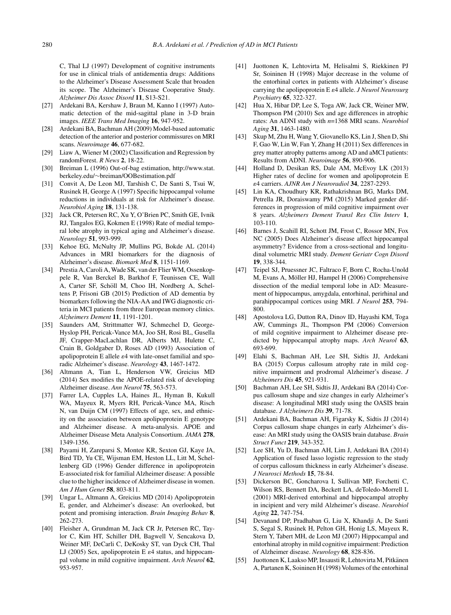C, Thal LJ (1997) Development of cognitive instruments for use in clinical trials of antidementia drugs: Additions to the Alzheimer's Disease Assessment Scale that broaden its scope. The Alzheimer's Disease Cooperative Study. *Alzheimer Dis Assoc Disord* **11**, S13-S21.

- [27] Ardekani BA, Kershaw J, Braun M, Kanno I (1997) Automatic detection of the mid-sagittal plane in 3-D brain images. *IEEE Trans Med Imaging* **16**, 947-952.
- [28] Ardekani BA, Bachman AH (2009) Model-based automatic detection of the anterior and posterior commissures on MRI scans. *Neuroimage* **46**, 677-682.
- [29] Liaw A, Wiener M (2002) Classification and Regression by randomForest. *R News* **2**, 18-22.
- [30] Breiman L (1996) Out-of-bag estimation, [http://www.stat.](http://www.stat.berkeley.edu/$~$breiman/OOBestimation.pdf) berkeley.edu/∼[breiman/OOBestimation.pdf](http://www.stat.berkeley.edu/$~$breiman/OOBestimation.pdf)
- [31] Convit A, De Leon MJ, Tarshish C, De Santi S, Tsui W, Rusinek H, George A (1997) Specific hippocampal volume reductions in individuals at risk for Alzheimer's disease. *Neurobiol Aging* **18**, 131-138.
- [32] Jack CR, Petersen RC, Xu Y, O'Brien PC, Smith GE, Ivnik RJ, Tangalos EG, Kokmen E (1998) Rate of medial temporal lobe atrophy in typical aging and Alzheimer's disease. *Neurology* **51**, 993-999.
- [33] Kehoe EG, McNulty JP, Mullins PG, Bokde AL (2014) Advances in MRI biomarkers for the diagnosis of Alzheimer's disease. *Biomark Med* **8**, 1151-1169.
- [34] Prestia A, Caroli A, Wade SK, van der Flier WM, Ossenkoppele R, Van Berckel B, Barkhof F, Teunissen CE, Wall A, Carter SF, Schöll M, Choo IH, Nordberg A, Scheltens P, Frisoni GB (2015) Prediction of AD dementia by biomarkers following the NIA-AA and IWG diagnostic criteria in MCI patients from three European memory clinics. *Alzheimers Dement* **11**, 1191-1201.
- [35] Saunders AM, Strittmatter WJ, Schmechel D, George-Hyslop PH, Pericak-Vance MA, Joo SH, Rosi BL, Gusella JF, Crapper-MacLachlan DR, Alberts MJ, Hulette C, Crain B, Goldgaber D, Roses AD (1993) Association of apolipoprotein E allele  $\varepsilon$ 4 with late-onset familial and sporadic Alzheimer's disease. *Neurology* **43**, 1467-1472.
- [36] Altmann A, Tian L, Henderson VW, Greicius MD (2014) Sex modifies the APOE-related risk of developing Alzheimer disease. *Ann Neurol* **75**, 563-573.
- [37] Farrer LA, Cupples LA, Haines JL, Hyman B, Kukull WA, Mayeux R, Myers RH, Pericak-Vance MA, Risch N, van Duijn CM (1997) Effects of age, sex, and ethnicity on the association between apolipoprotein E genotype and Alzheimer disease. A meta-analysis. APOE and Alzheimer Disease Meta Analysis Consortium. *JAMA* **278**, 1349-1356.
- [38] Payami H, Zareparsi S, Montee KR, Sexton GJ, Kaye JA, Bird TD, Yu CE, Wijsman EM, Heston LL, Litt M, Schellenberg GD (1996) Gender difference in apolipoprotein E-associated risk for familial Alzheimer disease: A possible clue to the higher incidence of Alzheimer disease in women. *Am J Hum Genet* **58**, 803-811.
- [39] Ungar L, Altmann A, Greicius MD (2014) Apolipoprotein E, gender, and Alzheimer's disease: An overlooked, but potent and promising interaction. *Brain Imaging Behav* **8**, 262-273.
- [40] Fleisher A, Grundman M, Jack CR Jr, Petersen RC, Taylor C, Kim HT, Schiller DH, Bagwell V, Sencakova D, Weiner MF, DeCarli C, DeKosky ST, van Dyck CH, Thal LJ (2005) Sex, apolipoprotein E  $\varepsilon$ 4 status, and hippocampal volume in mild cognitive impairment. *Arch Neurol* **62**, 953-957.
- [41] Juottonen K, Lehtovirta M, Helisalmi S, Riekkinen PJ Sr, Soininen H (1998) Major decrease in the volume of the entorhinal cortex in patients with Alzheimer's disease carrying the apolipoprotein E  $\varepsilon$ 4 allele. *J Neurol Neurosurg Psychiatry* **65**, 322-327.
- [42] Hua X, Hibar DP, Lee S, Toga AW, Jack CR, Weiner MW, Thompson PM (2010) Sex and age differences in atrophic rates: An ADNI study with *n*=1368 MRI scans. *Neurobiol Aging* **31**, 1463-1480.
- [43] Skup M, Zhu H, Wang Y, Giovanello KS, Lin J, Shen D, Shi F, Gao W, Lin W, Fan Y, Zhang H (2011) Sex differences in grey matter atrophy patterns among AD and aMCI patients: Results from ADNI. *Neuroimage* **56**, 890-906.
- [44] Holland D, Desikan RS, Dale AM, McEvoy LK (2013) Higher rates of decline for women and apolipoprotein E -4 carriers. *AJNR Am J Neuroradiol* **34**, 2287-2293.
- [45] Lin KA, Choudhury KR, Rathakrishnan BG, Marks DM, Petrella JR, Doraiswamy PM (2015) Marked gender differences in progression of mild cognitive impairment over 8 years. *Alzheimers Dement Transl Res Clin Interv* **1**, 103-110.
- [46] Barnes J, Scahill RI, Schott JM, Frost C, Rossor MN, Fox NC (2005) Does Alzheimer's disease affect hippocampal asymmetry? Evidence from a cross-sectional and longitudinal volumetric MRI study. *Dement Geriatr Cogn Disord* **19**, 338-344.
- [47] Teipel SJ, Pruessner JC, Faltraco F, Born C, Rocha-Unold M, Evans A, Möller HJ, Hampel H (2006) Comprehensive dissection of the medial temporal lobe in AD: Measurement of hippocampus, amygdala, entorhinal, perirhinal and parahippocampal cortices using MRI. *J Neurol* **253**, 794- 800.
- [48] Apostolova LG, Dutton RA, Dinov ID, Hayashi KM, Toga AW, Cummings JL, Thompson PM (2006) Conversion of mild cognitive impairment to Alzheimer disease predicted by hippocampal atrophy maps. *Arch Neurol* **63**, 693-699.
- [49] Elahi S, Bachman AH, Lee SH, Sidtis JJ, Ardekani BA (2015) Corpus callosum atrophy rate in mild cognitive impairment and prodromal Alzheimer's disease. *J Alzheimers Dis* **45**, 921-931.
- [50] Bachman AH, Lee SH, Sidtis JJ, Ardekani BA (2014) Corpus callosum shape and size changes in early Alzheimer's disease: A longitudinal MRI study using the OASIS brain database. *J Alzheimers Dis* **39**, 71-78.
- [51] Ardekani BA, Bachman AH, Figarsky K, Sidtis JJ (2014) Corpus callosum shape changes in early Alzheimer's disease: An MRI study using the OASIS brain database. *Brain Struct Funct* **219**, 343-352.
- [52] Lee SH, Yu D, Bachman AH, Lim J, Ardekani BA (2014) Application of fused lasso logistic regression to the study of corpus callosum thickness in early Alzheimer's disease. *J Neurosci Methods* **15**, 78-84.
- [53] Dickerson BC, Goncharova I, Sullivan MP, Forchetti C, Wilson RS, Bennett DA, Beckett LA, deToledo-Morrell L (2001) MRI-derived entorhinal and hippocampal atrophy in incipient and very mild Alzheimer's disease. *Neurobiol Aging* **22**, 747-754.
- [54] Devanand DP, Pradhaban G, Liu X, Khandji A, De Santi S, Segal S, Rusinek H, Pelton GH, Honig LS, Mayeux R, Stern Y, Tabert MH, de Leon MJ (2007) Hippocampal and entorhinal atrophy in mild cognitive impairment: Prediction of Alzheimer disease. *Neurology* **68**, 828-836.
- [55] Juottonen K, Laakso MP, Insausti R, Lehtovirta M, Pitkanen ¨ A, Partanen K, Soininen H (1998) Volumes of the entorhinal